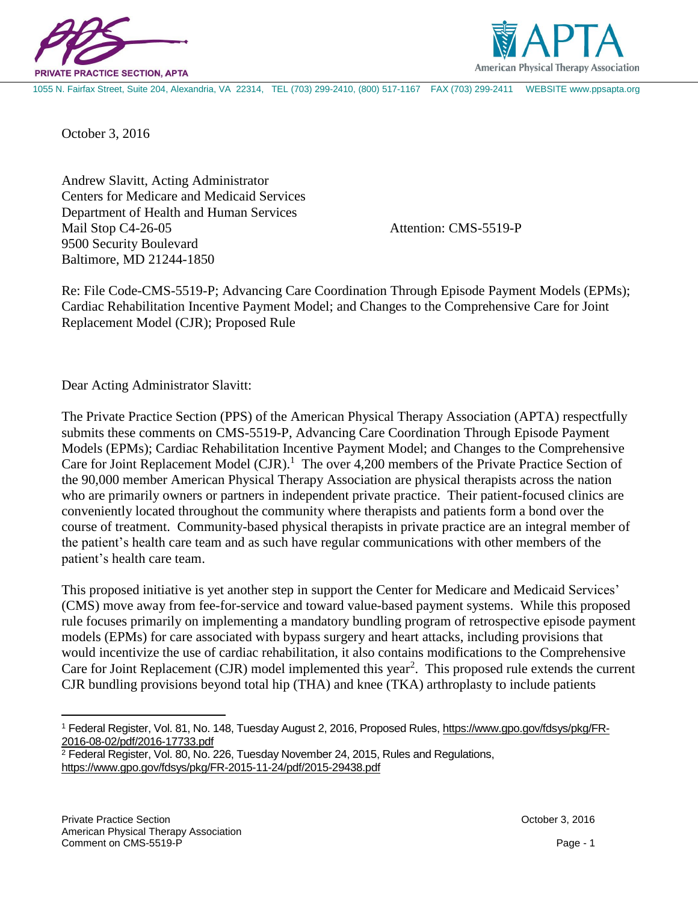



1055 N. Fairfax Street, Suite 204, Alexandria, VA 22314, TEL (703) 299-2410, (800) 517-1167 FAX (703) 299-2411 WEBSITE www.ppsapta.org

October 3, 2016

Andrew Slavitt, Acting Administrator Centers for Medicare and Medicaid Services Department of Health and Human Services Mail Stop C4-26-05 Attention: CMS-5519-P 9500 Security Boulevard Baltimore, MD 21244-1850

Re: File Code-CMS-5519-P; Advancing Care Coordination Through Episode Payment Models (EPMs); Cardiac Rehabilitation Incentive Payment Model; and Changes to the Comprehensive Care for Joint Replacement Model (CJR); Proposed Rule

Dear Acting Administrator Slavitt:

The Private Practice Section (PPS) of the American Physical Therapy Association (APTA) respectfully submits these comments on CMS-5519-P, Advancing Care Coordination Through Episode Payment Models (EPMs); Cardiac Rehabilitation Incentive Payment Model; and Changes to the Comprehensive Care for Joint Replacement Model  $(CJR)$ .<sup>1</sup> The over 4,200 members of the Private Practice Section of the 90,000 member American Physical Therapy Association are physical therapists across the nation who are primarily owners or partners in independent private practice. Their patient-focused clinics are conveniently located throughout the community where therapists and patients form a bond over the course of treatment. Community-based physical therapists in private practice are an integral member of the patient's health care team and as such have regular communications with other members of the patient's health care team.

This proposed initiative is yet another step in support the Center for Medicare and Medicaid Services' (CMS) move away from fee-for-service and toward value-based payment systems. While this proposed rule focuses primarily on implementing a mandatory bundling program of retrospective episode payment models (EPMs) for care associated with bypass surgery and heart attacks, including provisions that would incentivize the use of cardiac rehabilitation, it also contains modifications to the Comprehensive Care for Joint Replacement (CJR) model implemented this year<sup>2</sup>. This proposed rule extends the current CJR bundling provisions beyond total hip (THA) and knee (TKA) arthroplasty to include patients

 $\overline{a}$ 

<sup>1</sup> Federal Register, Vol. 81, No. 148, Tuesday August 2, 2016, Proposed Rules[, https://www.gpo.gov/fdsys/pkg/FR-](https://www.gpo.gov/fdsys/pkg/FR-2016-08-02/pdf/2016-17733.pdf)[2016-08-02/pdf/2016-17733.pdf](https://www.gpo.gov/fdsys/pkg/FR-2016-08-02/pdf/2016-17733.pdf)

<sup>2</sup> Federal Register, Vol. 80, No. 226, Tuesday November 24, 2015, Rules and Regulations, <https://www.gpo.gov/fdsys/pkg/FR-2015-11-24/pdf/2015-29438.pdf>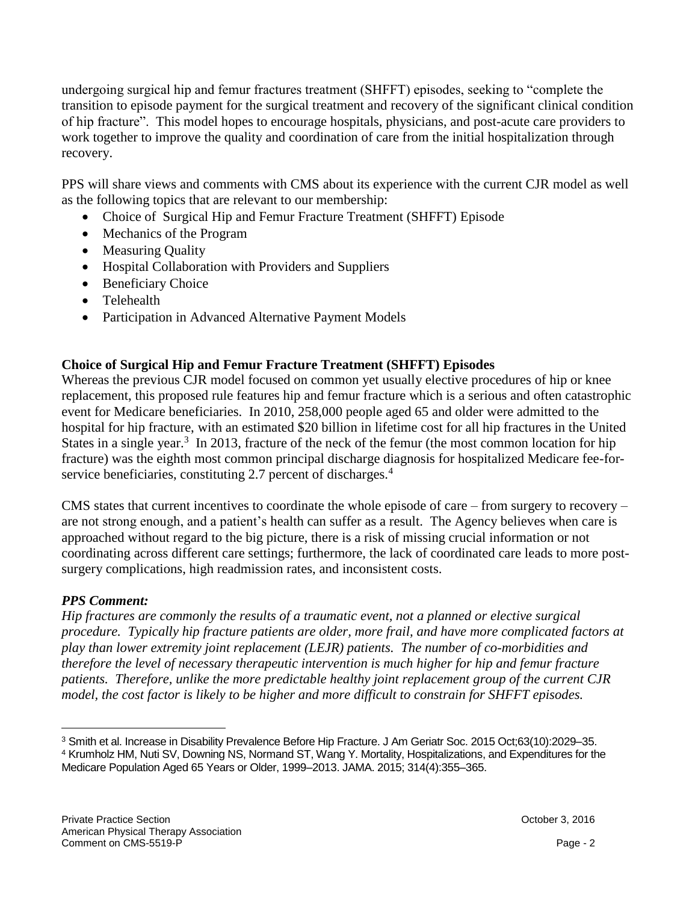undergoing surgical hip and femur fractures treatment (SHFFT) episodes, seeking to "complete the transition to episode payment for the surgical treatment and recovery of the significant clinical condition of hip fracture". This model hopes to encourage hospitals, physicians, and post-acute care providers to work together to improve the quality and coordination of care from the initial hospitalization through recovery.

PPS will share views and comments with CMS about its experience with the current CJR model as well as the following topics that are relevant to our membership:

- Choice of Surgical Hip and Femur Fracture Treatment (SHFFT) Episode
- Mechanics of the Program
- Measuring Quality
- Hospital Collaboration with Providers and Suppliers
- Beneficiary Choice
- Telehealth
- Participation in Advanced Alternative Payment Models

# **Choice of Surgical Hip and Femur Fracture Treatment (SHFFT) Episodes**

Whereas the previous CJR model focused on common yet usually elective procedures of hip or knee replacement, this proposed rule features hip and femur fracture which is a serious and often catastrophic event for Medicare beneficiaries. In 2010, 258,000 people aged 65 and older were admitted to the hospital for hip fracture, with an estimated \$20 billion in lifetime cost for all hip fractures in the United States in a single year.<sup>3</sup> In 2013, fracture of the neck of the femur (the most common location for hip fracture) was the eighth most common principal discharge diagnosis for hospitalized Medicare fee-forservice beneficiaries, constituting 2.7 percent of discharges.<sup>4</sup>

CMS states that current incentives to coordinate the whole episode of care – from surgery to recovery – are not strong enough, and a patient's health can suffer as a result. The Agency believes when care is approached without regard to the big picture, there is a risk of missing crucial information or not coordinating across different care settings; furthermore, the lack of coordinated care leads to more postsurgery complications, high readmission rates, and inconsistent costs.

# *PPS Comment:*

 $\overline{a}$ 

*Hip fractures are commonly the results of a traumatic event, not a planned or elective surgical procedure. Typically hip fracture patients are older, more frail, and have more complicated factors at play than lower extremity joint replacement (LEJR) patients. The number of co-morbidities and therefore the level of necessary therapeutic intervention is much higher for hip and femur fracture patients. Therefore, unlike the more predictable healthy joint replacement group of the current CJR model, the cost factor is likely to be higher and more difficult to constrain for SHFFT episodes.*

<sup>3</sup> Smith et al. Increase in Disability Prevalence Before Hip Fracture. J Am Geriatr Soc. 2015 Oct;63(10):2029–35. <sup>4</sup> Krumholz HM, Nuti SV, Downing NS, Normand ST, Wang Y. Mortality, Hospitalizations, and Expenditures for the Medicare Population Aged 65 Years or Older, 1999–2013. JAMA. 2015; 314(4):355–365.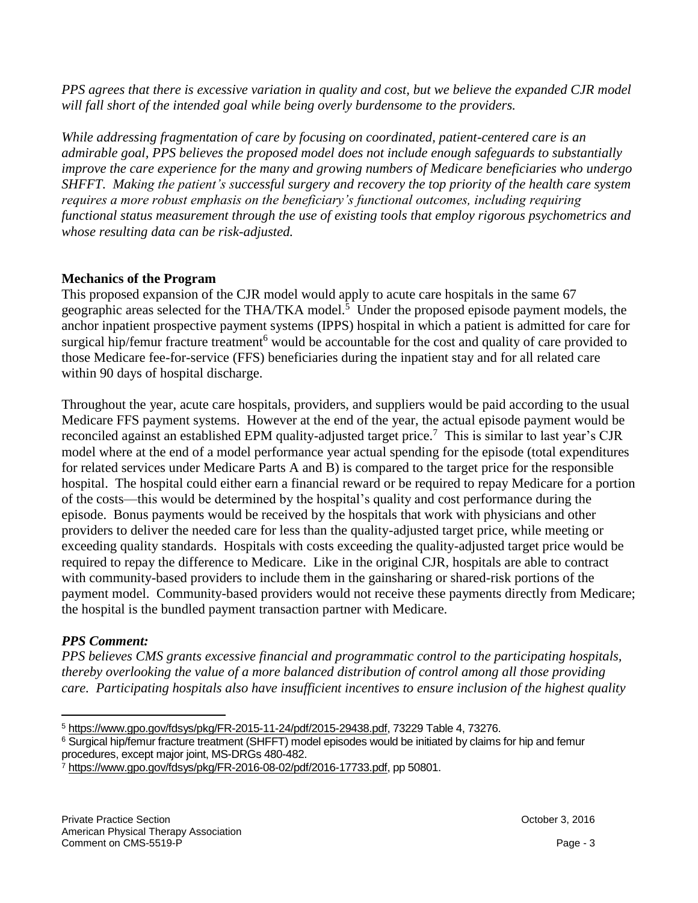*PPS agrees that there is excessive variation in quality and cost, but we believe the expanded CJR model will fall short of the intended goal while being overly burdensome to the providers.* 

*While addressing fragmentation of care by focusing on coordinated, patient-centered care is an admirable goal, PPS believes the proposed model does not include enough safeguards to substantially improve the care experience for the many and growing numbers of Medicare beneficiaries who undergo SHFFT. Making the patient's successful surgery and recovery the top priority of the health care system requires a more robust emphasis on the beneficiary's functional outcomes, including requiring functional status measurement through the use of existing tools that employ rigorous psychometrics and whose resulting data can be risk-adjusted.*

# **Mechanics of the Program**

This proposed expansion of the CJR model would apply to acute care hospitals in the same 67 geographic areas selected for the THA/TKA model.<sup>5</sup> Under the proposed episode payment models, the anchor inpatient prospective payment systems (IPPS) hospital in which a patient is admitted for care for surgical hip/femur fracture treatment<sup>6</sup> would be accountable for the cost and quality of care provided to those Medicare fee-for-service (FFS) beneficiaries during the inpatient stay and for all related care within 90 days of hospital discharge.

Throughout the year, acute care hospitals, providers, and suppliers would be paid according to the usual Medicare FFS payment systems. However at the end of the year, the actual episode payment would be reconciled against an established EPM quality-adjusted target price.<sup>7</sup> This is similar to last year's CJR model where at the end of a model performance year actual spending for the episode (total expenditures for related services under Medicare Parts A and B) is compared to the target price for the responsible hospital. The hospital could either earn a financial reward or be required to repay Medicare for a portion of the costs—this would be determined by the hospital's quality and cost performance during the episode. Bonus payments would be received by the hospitals that work with physicians and other providers to deliver the needed care for less than the quality-adjusted target price, while meeting or exceeding quality standards. Hospitals with costs exceeding the quality-adjusted target price would be required to repay the difference to Medicare. Like in the original CJR, hospitals are able to contract with community-based providers to include them in the gainsharing or shared-risk portions of the payment model. Community-based providers would not receive these payments directly from Medicare; the hospital is the bundled payment transaction partner with Medicare.

# *PPS Comment:*

*PPS believes CMS grants excessive financial and programmatic control to the participating hospitals, thereby overlooking the value of a more balanced distribution of control among all those providing care. Participating hospitals also have insufficient incentives to ensure inclusion of the highest quality* 

 $\overline{a}$ <sup>5</sup> [https://www.gpo.gov/fdsys/pkg/FR-2015-11-24/pdf/2015-29438.pdf,](https://www.gpo.gov/fdsys/pkg/FR-2015-11-24/pdf/2015-29438.pdf) 73229 Table 4, 73276.

<sup>6</sup> Surgical hip/femur fracture treatment (SHFFT) model episodes would be initiated by claims for hip and femur procedures, except major joint, MS-DRGs 480-482.

<sup>7</sup> [https://www.gpo.gov/fdsys/pkg/FR-2016-08-02/pdf/2016-17733.pdf,](https://www.gpo.gov/fdsys/pkg/FR-2016-08-02/pdf/2016-17733.pdf) pp 50801.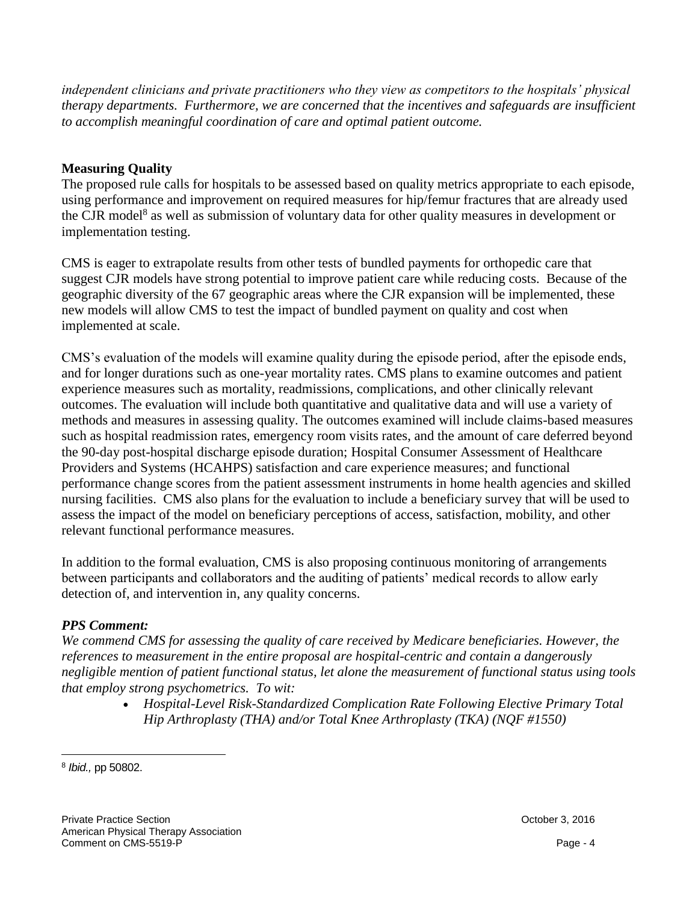*independent clinicians and private practitioners who they view as competitors to the hospitals' physical therapy departments. Furthermore, we are concerned that the incentives and safeguards are insufficient to accomplish meaningful coordination of care and optimal patient outcome.*

## **Measuring Quality**

The proposed rule calls for hospitals to be assessed based on quality metrics appropriate to each episode, using performance and improvement on required measures for hip/femur fractures that are already used the CJR model<sup>8</sup> as well as submission of voluntary data for other quality measures in development or implementation testing.

CMS is eager to extrapolate results from other tests of bundled payments for orthopedic care that suggest CJR models have strong potential to improve patient care while reducing costs. Because of the geographic diversity of the 67 geographic areas where the CJR expansion will be implemented, these new models will allow CMS to test the impact of bundled payment on quality and cost when implemented at scale.

CMS's evaluation of the models will examine quality during the episode period, after the episode ends, and for longer durations such as one-year mortality rates. CMS plans to examine outcomes and patient experience measures such as mortality, readmissions, complications, and other clinically relevant outcomes. The evaluation will include both quantitative and qualitative data and will use a variety of methods and measures in assessing quality. The outcomes examined will include claims-based measures such as hospital readmission rates, emergency room visits rates, and the amount of care deferred beyond the 90-day post-hospital discharge episode duration; Hospital Consumer Assessment of Healthcare Providers and Systems (HCAHPS) satisfaction and care experience measures; and functional performance change scores from the patient assessment instruments in home health agencies and skilled nursing facilities. CMS also plans for the evaluation to include a beneficiary survey that will be used to assess the impact of the model on beneficiary perceptions of access, satisfaction, mobility, and other relevant functional performance measures.

In addition to the formal evaluation, CMS is also proposing continuous monitoring of arrangements between participants and collaborators and the auditing of patients' medical records to allow early detection of, and intervention in, any quality concerns.

# *PPS Comment:*

*We commend CMS for assessing the quality of care received by Medicare beneficiaries. However, the references to measurement in the entire proposal are hospital-centric and contain a dangerously negligible mention of patient functional status, let alone the measurement of functional status using tools that employ strong psychometrics. To wit:* 

 *Hospital-Level Risk-Standardized Complication Rate Following Elective Primary Total Hip Arthroplasty (THA) and/or Total Knee Arthroplasty (TKA) (NQF #1550)*

 $\overline{a}$ 8 *Ibid.,* pp 50802.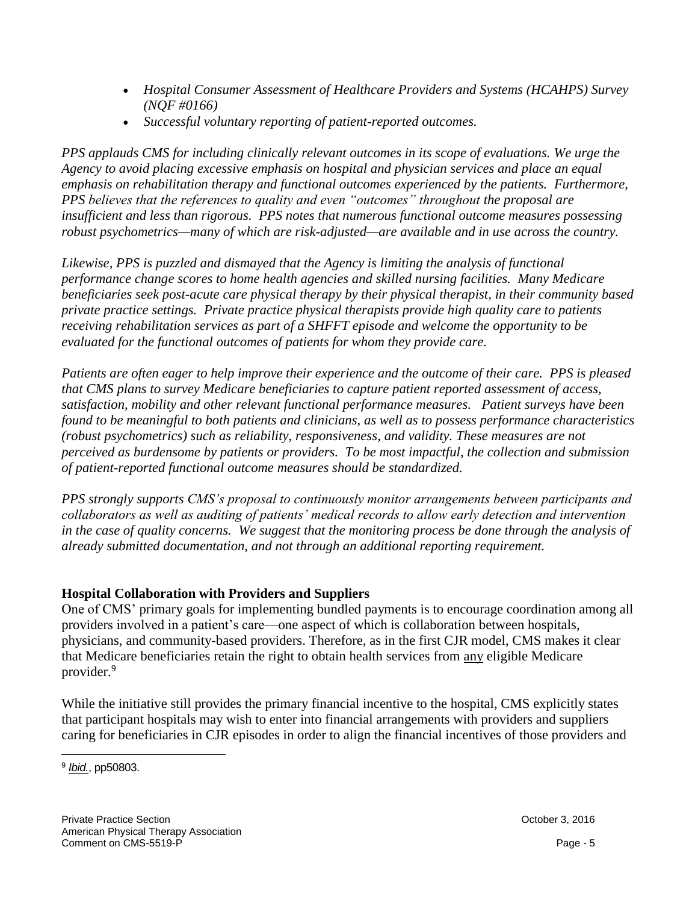- *Hospital Consumer Assessment of Healthcare Providers and Systems (HCAHPS) Survey (NQF #0166)*
- *Successful voluntary reporting of patient-reported outcomes.*

*PPS applauds CMS for including clinically relevant outcomes in its scope of evaluations. We urge the Agency to avoid placing excessive emphasis on hospital and physician services and place an equal emphasis on rehabilitation therapy and functional outcomes experienced by the patients. Furthermore, PPS believes that the references to quality and even "outcomes" throughout the proposal are insufficient and less than rigorous. PPS notes that numerous functional outcome measures possessing robust psychometrics—many of which are risk-adjusted—are available and in use across the country.*

*Likewise, PPS is puzzled and dismayed that the Agency is limiting the analysis of functional performance change scores to home health agencies and skilled nursing facilities. Many Medicare beneficiaries seek post-acute care physical therapy by their physical therapist, in their community based private practice settings. Private practice physical therapists provide high quality care to patients receiving rehabilitation services as part of a SHFFT episode and welcome the opportunity to be evaluated for the functional outcomes of patients for whom they provide care.*

*Patients are often eager to help improve their experience and the outcome of their care. PPS is pleased that CMS plans to survey Medicare beneficiaries to capture patient reported assessment of access, satisfaction, mobility and other relevant functional performance measures. Patient surveys have been found to be meaningful to both patients and clinicians, as well as to possess performance characteristics (robust psychometrics) such as reliability, responsiveness, and validity. These measures are not perceived as burdensome by patients or providers. To be most impactful, the collection and submission of patient-reported functional outcome measures should be standardized.* 

*PPS strongly supports CMS's proposal to continuously monitor arrangements between participants and collaborators as well as auditing of patients' medical records to allow early detection and intervention in the case of quality concerns. We suggest that the monitoring process be done through the analysis of already submitted documentation, and not through an additional reporting requirement.*

# **Hospital Collaboration with Providers and Suppliers**

One of CMS' primary goals for implementing bundled payments is to encourage coordination among all providers involved in a patient's care—one aspect of which is collaboration between hospitals, physicians, and community-based providers. Therefore, as in the first CJR model, CMS makes it clear that Medicare beneficiaries retain the right to obtain health services from any eligible Medicare provider.<sup>9</sup>

While the initiative still provides the primary financial incentive to the hospital, CMS explicitly states that participant hospitals may wish to enter into financial arrangements with providers and suppliers caring for beneficiaries in CJR episodes in order to align the financial incentives of those providers and

 $\overline{a}$ 9 *[Ibid.](https://www.gpo.gov/fdsys/pkg/FR-2016-08-02/pdf/2016-17733.pdf)*, pp50803.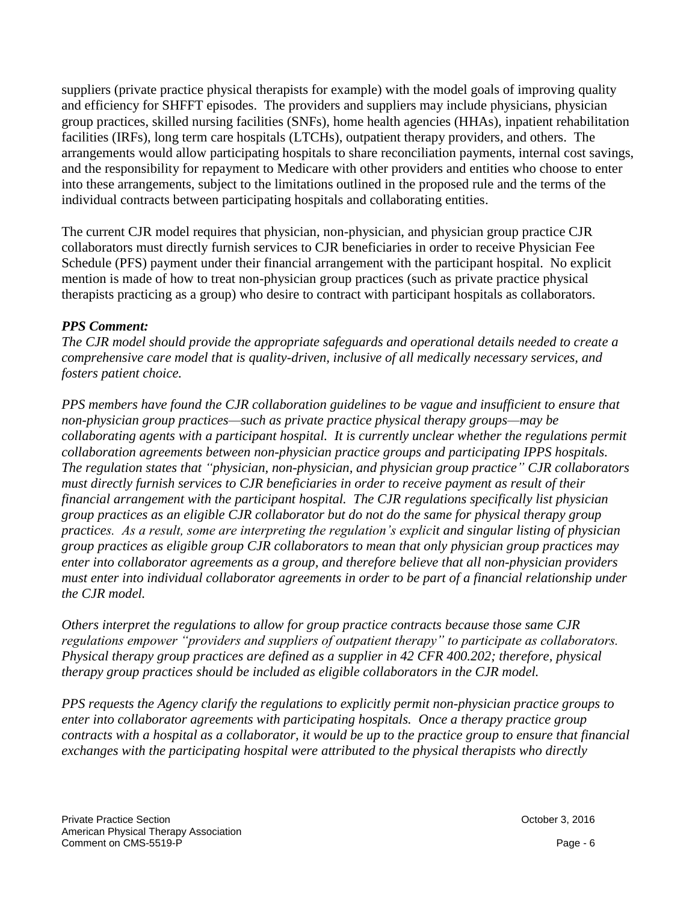suppliers (private practice physical therapists for example) with the model goals of improving quality and efficiency for SHFFT episodes. The providers and suppliers may include physicians, physician group practices, skilled nursing facilities (SNFs), home health agencies (HHAs), inpatient rehabilitation facilities (IRFs), long term care hospitals (LTCHs), outpatient therapy providers, and others. The arrangements would allow participating hospitals to share reconciliation payments, internal cost savings, and the responsibility for repayment to Medicare with other providers and entities who choose to enter into these arrangements, subject to the limitations outlined in the proposed rule and the terms of the individual contracts between participating hospitals and collaborating entities.

The current CJR model requires that physician, non-physician, and physician group practice CJR collaborators must directly furnish services to CJR beneficiaries in order to receive Physician Fee Schedule (PFS) payment under their financial arrangement with the participant hospital. No explicit mention is made of how to treat non-physician group practices (such as private practice physical therapists practicing as a group) who desire to contract with participant hospitals as collaborators.

### *PPS Comment:*

*The CJR model should provide the appropriate safeguards and operational details needed to create a comprehensive care model that is quality-driven, inclusive of all medically necessary services, and fosters patient choice.*

*PPS members have found the CJR collaboration guidelines to be vague and insufficient to ensure that non-physician group practices—such as private practice physical therapy groups—may be collaborating agents with a participant hospital. It is currently unclear whether the regulations permit collaboration agreements between non-physician practice groups and participating IPPS hospitals. The regulation states that "physician, non-physician, and physician group practice" CJR collaborators must directly furnish services to CJR beneficiaries in order to receive payment as result of their financial arrangement with the participant hospital. The CJR regulations specifically list physician group practices as an eligible CJR collaborator but do not do the same for physical therapy group practices. As a result, some are interpreting the regulation's explicit and singular listing of physician group practices as eligible group CJR collaborators to mean that only physician group practices may enter into collaborator agreements as a group, and therefore believe that all non-physician providers must enter into individual collaborator agreements in order to be part of a financial relationship under the CJR model.* 

*Others interpret the regulations to allow for group practice contracts because those same CJR regulations empower "providers and suppliers of outpatient therapy" to participate as collaborators. Physical therapy group practices are defined as a supplier in 42 CFR 400.202; therefore, physical therapy group practices should be included as eligible collaborators in the CJR model.* 

*PPS requests the Agency clarify the regulations to explicitly permit non-physician practice groups to enter into collaborator agreements with participating hospitals. Once a therapy practice group contracts with a hospital as a collaborator, it would be up to the practice group to ensure that financial exchanges with the participating hospital were attributed to the physical therapists who directly*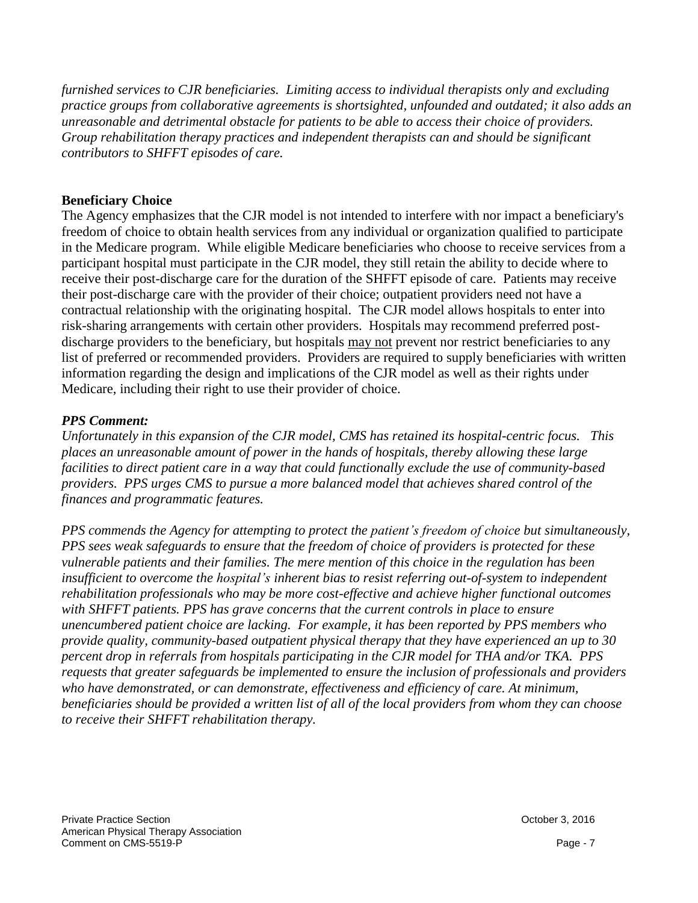*furnished services to CJR beneficiaries. Limiting access to individual therapists only and excluding practice groups from collaborative agreements is shortsighted, unfounded and outdated; it also adds an unreasonable and detrimental obstacle for patients to be able to access their choice of providers. Group rehabilitation therapy practices and independent therapists can and should be significant contributors to SHFFT episodes of care.*

#### **Beneficiary Choice**

The Agency emphasizes that the CJR model is not intended to interfere with nor impact a beneficiary's freedom of choice to obtain health services from any individual or organization qualified to participate in the Medicare program. While eligible Medicare beneficiaries who choose to receive services from a participant hospital must participate in the CJR model, they still retain the ability to decide where to receive their post-discharge care for the duration of the SHFFT episode of care. Patients may receive their post-discharge care with the provider of their choice; outpatient providers need not have a contractual relationship with the originating hospital. The CJR model allows hospitals to enter into risk-sharing arrangements with certain other providers. Hospitals may recommend preferred postdischarge providers to the beneficiary, but hospitals may not prevent nor restrict beneficiaries to any list of preferred or recommended providers. Providers are required to supply beneficiaries with written information regarding the design and implications of the CJR model as well as their rights under Medicare, including their right to use their provider of choice.

### *PPS Comment:*

*Unfortunately in this expansion of the CJR model, CMS has retained its hospital-centric focus. This places an unreasonable amount of power in the hands of hospitals, thereby allowing these large facilities to direct patient care in a way that could functionally exclude the use of community-based providers. PPS urges CMS to pursue a more balanced model that achieves shared control of the finances and programmatic features.* 

*PPS commends the Agency for attempting to protect the patient's freedom of choice but simultaneously, PPS sees weak safeguards to ensure that the freedom of choice of providers is protected for these vulnerable patients and their families. The mere mention of this choice in the regulation has been insufficient to overcome the hospital's inherent bias to resist referring out-of-system to independent rehabilitation professionals who may be more cost-effective and achieve higher functional outcomes with SHFFT patients. PPS has grave concerns that the current controls in place to ensure unencumbered patient choice are lacking. For example, it has been reported by PPS members who provide quality, community-based outpatient physical therapy that they have experienced an up to 30 percent drop in referrals from hospitals participating in the CJR model for THA and/or TKA. PPS requests that greater safeguards be implemented to ensure the inclusion of professionals and providers who have demonstrated, or can demonstrate, effectiveness and efficiency of care. At minimum, beneficiaries should be provided a written list of all of the local providers from whom they can choose to receive their SHFFT rehabilitation therapy.*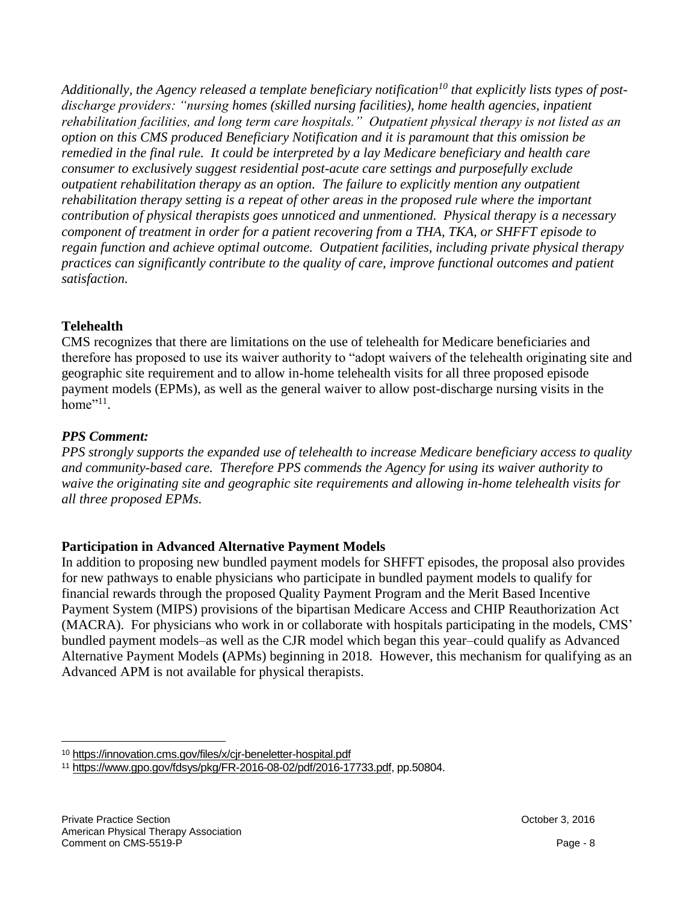*Additionally, the Agency released a template beneficiary notification<sup>10</sup> that explicitly lists types of postdischarge providers: "nursing homes (skilled nursing facilities), home health agencies, inpatient rehabilitation facilities, and long term care hospitals." Outpatient physical therapy is not listed as an option on this CMS produced Beneficiary Notification and it is paramount that this omission be remedied in the final rule. It could be interpreted by a lay Medicare beneficiary and health care consumer to exclusively suggest residential post-acute care settings and purposefully exclude outpatient rehabilitation therapy as an option. The failure to explicitly mention any outpatient rehabilitation therapy setting is a repeat of other areas in the proposed rule where the important contribution of physical therapists goes unnoticed and unmentioned. Physical therapy is a necessary component of treatment in order for a patient recovering from a THA, TKA, or SHFFT episode to regain function and achieve optimal outcome. Outpatient facilities, including private physical therapy practices can significantly contribute to the quality of care, improve functional outcomes and patient satisfaction.*

### **Telehealth**

CMS recognizes that there are limitations on the use of telehealth for Medicare beneficiaries and therefore has proposed to use its waiver authority to "adopt waivers of the telehealth originating site and geographic site requirement and to allow in-home telehealth visits for all three proposed episode payment models (EPMs), as well as the general waiver to allow post-discharge nursing visits in the home<sup> $"11$ </sup>.

### *PPS Comment:*

 $\overline{a}$ 

*PPS strongly supports the expanded use of telehealth to increase Medicare beneficiary access to quality and community-based care. Therefore PPS commends the Agency for using its waiver authority to waive the originating site and geographic site requirements and allowing in-home telehealth visits for all three proposed EPMs.* 

# **Participation in Advanced Alternative Payment Models**

In addition to proposing new bundled payment models for SHFFT episodes, the proposal also provides for new pathways to enable physicians who participate in bundled payment models to qualify for financial rewards through the proposed Quality Payment Program and the Merit Based Incentive Payment System (MIPS) provisions of the bipartisan Medicare Access and CHIP Reauthorization Act (MACRA). For physicians who work in or collaborate with hospitals participating in the models, CMS' bundled payment models–as well as the CJR model which began this year–could qualify as Advanced Alternative Payment Models **(**APMs) beginning in 2018. However, this mechanism for qualifying as an Advanced APM is not available for physical therapists.

<sup>10</sup> <https://innovation.cms.gov/files/x/cjr-beneletter-hospital.pdf>

<sup>11</sup> [https://www.gpo.gov/fdsys/pkg/FR-2016-08-02/pdf/2016-17733.pdf,](https://www.gpo.gov/fdsys/pkg/FR-2016-08-02/pdf/2016-17733.pdf) pp.50804.